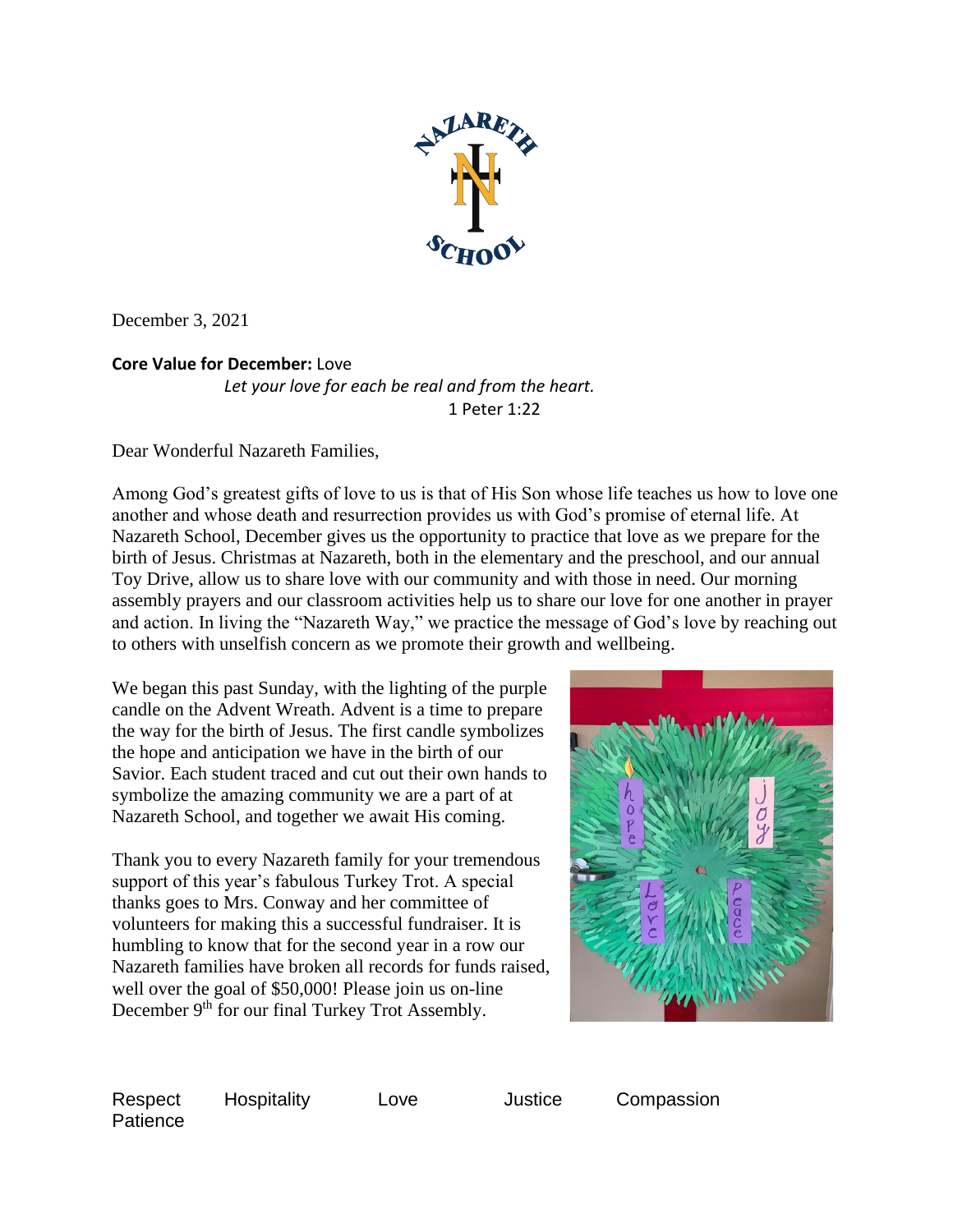

December 3, 2021

## **Core Value for December:** Love

*Let your love for each be real and from the heart.* 1 Peter 1:22

Dear Wonderful Nazareth Families,

Among God's greatest gifts of love to us is that of His Son whose life teaches us how to love one another and whose death and resurrection provides us with God's promise of eternal life. At Nazareth School, December gives us the opportunity to practice that love as we prepare for the birth of Jesus. Christmas at Nazareth, both in the elementary and the preschool, and our annual Toy Drive, allow us to share love with our community and with those in need. Our morning assembly prayers and our classroom activities help us to share our love for one another in prayer and action. In living the "Nazareth Way," we practice the message of God's love by reaching out to others with unselfish concern as we promote their growth and wellbeing.

We began this past Sunday, with the lighting of the purple candle on the Advent Wreath. Advent is a time to prepare the way for the birth of Jesus. The first candle symbolizes the hope and anticipation we have in the birth of our Savior. Each student traced and cut out their own hands to symbolize the amazing community we are a part of at Nazareth School, and together we await His coming.

Thank you to every Nazareth family for your tremendous support of this year's fabulous Turkey Trot. A special thanks goes to Mrs. Conway and her committee of volunteers for making this a successful fundraiser. It is humbling to know that for the second year in a row our Nazareth families have broken all records for funds raised, well over the goal of \$50,000! Please join us on-line December 9<sup>th</sup> for our final Turkey Trot Assembly.



**Patience** 

Respect Hospitality Love Justice Compassion